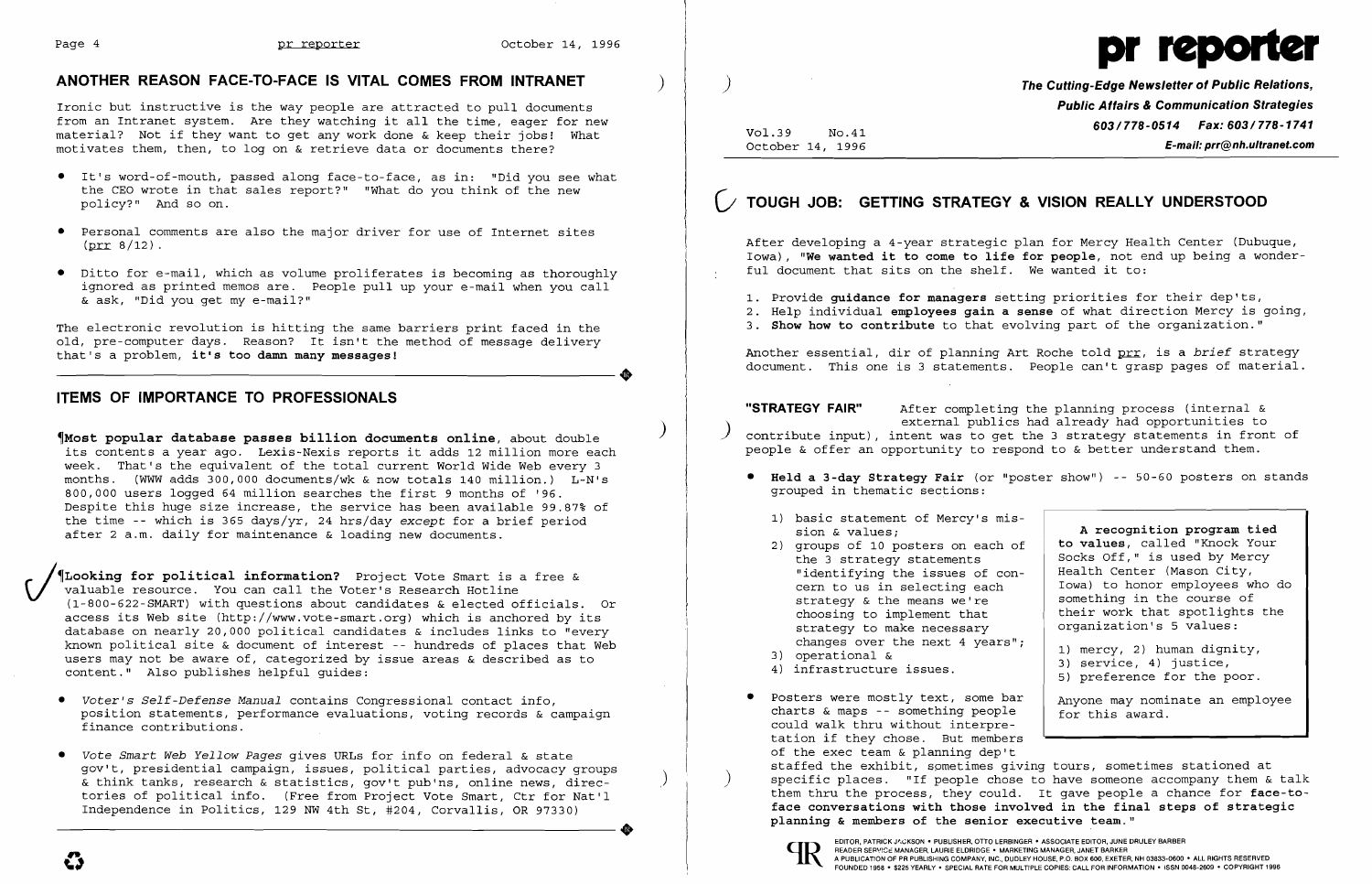

## **ANOTHER REASON FACE-TO-FACE IS VITAL COMES FROM INTRANET** )

Ironic but instructive is the way people are attracted to pull documents from an Intranet system. Are they watching it all the time, eager for new material? Not if they want to get any work done & keep their jobs! What motivates them, then, to log on & retrieve data or documents there?

- • It's word-of-mouth, passed along face-to-face, as in: "Did you see what the CEO wrote in that sales report?" "What do you think of the new policy?" And so on.
- • Personal comments are also the major driver for use of Internet sites  $(prr 8/12)$ .
- • Ditto for e-mail, which as volume proliferates is becoming as thoroughly ignored as printed memos are. People pull up your e-mail when you call & ask, "Did you get my e-mail?"

The electronic revolution is hitting the same barriers print faced in the old, pre-computer days. Reason? It isn't the method of message delivery that's a problem, it's too damn many messages! that's a problem, **it's too damn many messages!** 

## **ITEMS OF IMPORTANCE TO PROFESSIONALS**

) ~Most **popular database passes billion documents online,** about double its contents a year ago. Lexis-Nexis reports it adds 12 million more each week. That's the equivalent of the total current World Wide Web every 3 months. (WWW adds 300,000 documents/wk & now totals 140 million.) L-N's 800,000 users logged 64 million searches the first 9 months of '96. Despite this huge size increase, the service has been available 99.87% of the time -- which is 365 days/yr, 24 hrs/day *except* for a brief period after 2 a.m. daily for maintenance & loading new documents.

**The Cutting-Edge Newsletter of Public Relations, Public Affairs & Communication Strategies 603/778-0514 Fax: 603/778-1741**<br>October 14, 1996 **Fermail: prr@nh.ultranet.com** October 14, 1996 **E-mail: prr@nh.ultranet.com** 

**"STRATEGY FAIR"** After completing the planning process (internal & external publics had already had opportunities to contribute input), intent was to get the 3 strategy statements in front of people & offer an opportunity to respond to & better understand them.

\_. ~Looking **for political information?** Project Vote Smart is a free & *\)I* valuable resource. You can call the Voter's Research Hotline (1-800-622-SMART) with questions about candidates & elected officials. Or access its Web site (http://www.vote-smart.org) which is anchored by its database on nearly 20,000 political candidates & includes links to "every known political site & document of interest -- hundreds of places that Web users may not be aware of, categorized by issue areas & described as to content." Also publishes helpful guides:

- *• Voter's Self-Defense Manual* contains Congressional contact info, position statements, performance evaluations, voting records & campaign finance contributions.
- *• Vote Smart Web Yellow Pages* gives URLs for info on federal & state gov't, presidential campaign, issues, political parties, advocacy groups & think tanks, research & statistics, gov't pub'ns, online news, directories of political info. (Free from Project Vote Smart, Ctr for Nat'l<br>Independence in Politics, 129 NW 4th St, #204, Corvallis, OR 97330) Independence in Politics, 129 NW 4th St, #204, Corvallis, OR 97330)

## (; **TOUGH JOB: GETTING STRATEGY & VISION REALLY UNDERSTOOD**

After developing a 4-year strategic plan for Mercy Health Center (Dubuque, Iowa), **"We wanted it to come to life for people,** not end up being a wonderful document that sits on the shelf. We wanted it to:

1. Provide **guidance for managers** setting priorities for their dep'ts, 2. Help individual **employees gain a sense** of what direction Mercy is going, 3. **Show how to contribute** to that evolving part of the organization."

- 
- 

Another essential, dir of planning Art Roche told prr, is a *brief* strategy document. This one is 3 statements. People can't grasp pages of material.

**• Held a 3-day Strategy Fair** (or "poster show") -- 50-60 posters on stands

| c or mercy's mis- |                                 |
|-------------------|---------------------------------|
|                   | A recognition program tied      |
| osters on each of | to values, called "Knock Your   |
| statements        | Socks Off," is used by Mercy    |
| ne issues of con- | Health Center (Mason City,      |
| selecting each    | Iowa) to honor employees who do |
| means we're       | something in the course of      |
| blement that      | their work that spotlights the  |
| ce necessary      | organization's 5 values:        |
| e next 4 years";  | 1) mercy, 2) human dignity,     |
| issues.           | 3) service, 4) justice,         |
|                   | 5) preference for the poor.     |
| y text, some bar. | Anyone may nominate an employee |
| omething people   | for this award.                 |
| thout interpre-   |                                 |
| se. But members   |                                 |
|                   |                                 |

- grouped in thematic sections:
	- 1) basic statement of Mercy's mis sion & values;
	- the 3 strategy statements 2) groups of 10 posters on each of "identifying the issues of concern to us in selecting each strategy  $\&$  the means we're choosing to implement that strategy to make necessary changes over the next 4 years"<br>3) operational & 4) infrastructure issues.
	-
	-
- Posters were mostly text, some bar charts & maps -- something people could walk thru without interpretation if they chose. But members of the exec team & planning dep't staffed the exhibit, spmetimes giving tours, sometimes stationed at **planning & members of the senior executive team."**

) specific places. "If people chose to have someone accompany them & talk them thru the process, they could. It gave people a chance for **face-toface conversations with those involved in the final steps of strategic**